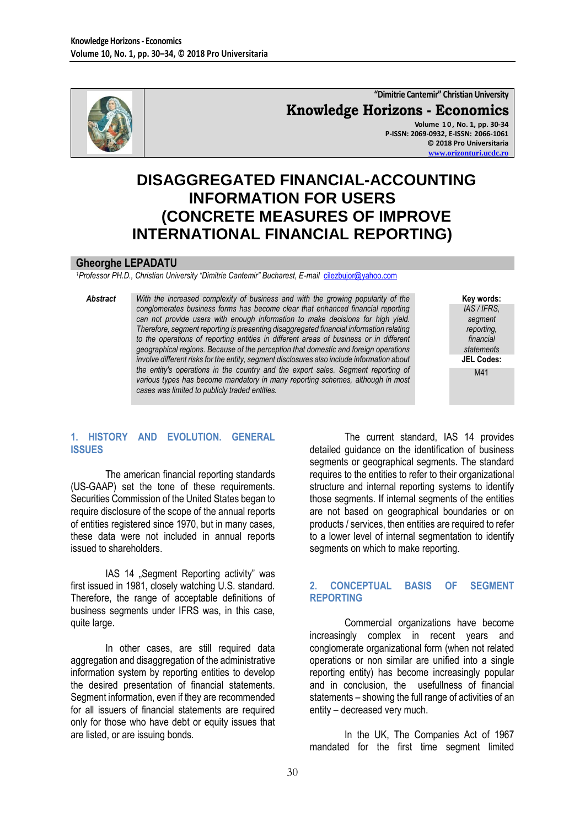

## **"Dimitrie Cantemir" Christian University Knowledge Horizons - Economics**

**Volume 1 0 , No. 1, pp. 30-34 P-ISSN: 2069-0932, E-ISSN: 2066-1061 © 2018 Pro Universitaria [www.orizonturi.ucdc.ro](http://www.orizonturi.ucdc.ro/)**

# **DISAGGREGATED FINANCIAL-ACCOUNTING INFORMATION FOR USERS (CONCRETE MEASURES OF IMPROVE INTERNATIONAL FINANCIAL REPORTING)**

#### **Gheorghe LEPADATU**

*<sup>1</sup>Professor PH.D., Christian University "Dimitrie Cantemir" Bucharest, E-mail* [cilezbujor@yahoo.com](mailto:cilezbujor@yahoo.com)

*Abstract With the increased complexity of business and with the growing popularity of the conglomerates business forms has become clear that enhanced financial reporting can not provide users with enough information to make decisions for high yield. Therefore, segment reporting is presenting disaggregated financial information relating to the operations of reporting entities in different areas of business or in different geographical regions. Because of the perception that domestic and foreign operations involve different risks for the entity, segment disclosures also include information about the entity's operations in the country and the export sales. Segment reporting of various types has become mandatory in many reporting schemes, although in most cases was limited to publicly traded entities.*

**Key words:** *IAS / IFRS, segment reporting, financial statements* **JEL Codes:** M41

## **1. HISTORY AND EVOLUTION. GENERAL ISSUES**

The american financial reporting standards (US-GAAP) set the tone of these requirements. Securities Commission of the United States began to require disclosure of the scope of the annual reports of entities registered since 1970, but in many cases, these data were not included in annual reports issued to shareholders.

IAS 14 "Segment Reporting activity" was first issued in 1981, closely watching U.S. standard. Therefore, the range of acceptable definitions of business segments under IFRS was, in this case, quite large.

In other cases, are still required data aggregation and disaggregation of the administrative information system by reporting entities to develop the desired presentation of financial statements. Segment information, even if they are recommended for all issuers of financial statements are required only for those who have debt or equity issues that are listed, or are issuing bonds.

The current standard, IAS 14 provides detailed guidance on the identification of business segments or geographical segments. The standard requires to the entities to refer to their organizational structure and internal reporting systems to identify those segments. If internal segments of the entities are not based on geographical boundaries or on products / services, then entities are required to refer to a lower level of internal segmentation to identify segments on which to make reporting.

## **2. CONCEPTUAL BASIS OF SEGMENT REPORTING**

Commercial organizations have become increasingly complex in recent years and conglomerate organizational form (when not related operations or non similar are unified into a single reporting entity) has become increasingly popular and in conclusion, the usefullness of financial statements – showing the full range of activities of an entity – decreased very much.

In the UK, The Companies Act of 1967 mandated for the first time segment limited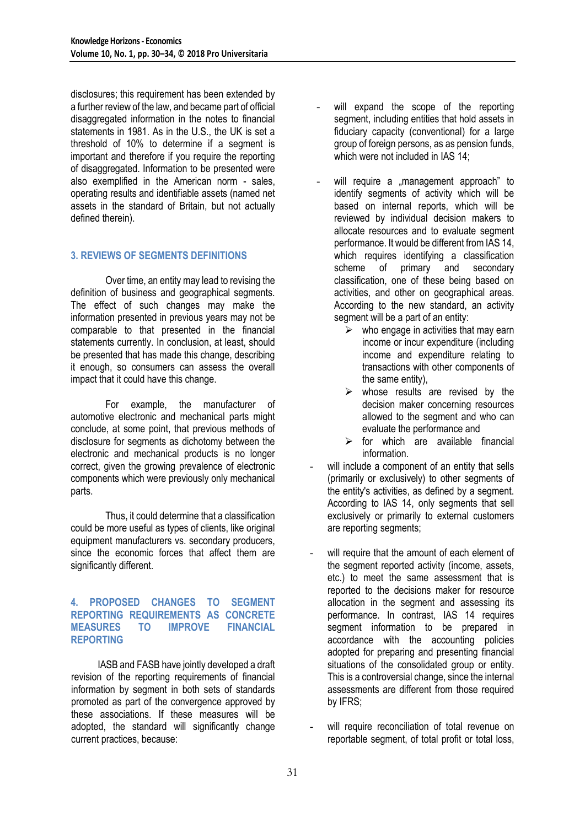disclosures; this requirement has been extended by a further review of the law, and became part of official disaggregated information in the notes to financial statements in 1981. As in the U.S., the UK is set a threshold of 10% to determine if a segment is important and therefore if you require the reporting of disaggregated. Information to be presented were also exemplified in the American norm - sales, operating results and identifiable assets (named net assets in the standard of Britain, but not actually defined therein).

## **3. REVIEWS OF SEGMENTS DEFINITIONS**

Over time, an entity may lead to revising the definition of business and geographical segments. The effect of such changes may make the information presented in previous years may not be comparable to that presented in the financial statements currently. In conclusion, at least, should be presented that has made this change, describing it enough, so consumers can assess the overall impact that it could have this change.

For example, the manufacturer of automotive electronic and mechanical parts might conclude, at some point, that previous methods of disclosure for segments as dichotomy between the electronic and mechanical products is no longer correct, given the growing prevalence of electronic components which were previously only mechanical parts.

Thus, it could determine that a classification could be more useful as types of clients, like original equipment manufacturers vs. secondary producers, since the economic forces that affect them are significantly different.

#### **4. PROPOSED CHANGES TO SEGMENT REPORTING REQUIREMENTS AS CONCRETE MEASURES TO IMPROVE FINANCIAL REPORTING**

IASB and FASB have jointly developed a draft revision of the reporting requirements of financial information by segment in both sets of standards promoted as part of the convergence approved by these associations. If these measures will be adopted, the standard will significantly change current practices, because:

- will expand the scope of the reporting segment, including entities that hold assets in fiduciary capacity (conventional) for a large group of foreign persons, as as pension funds, which were not included in IAS 14;
- will require a "management approach" to identify segments of activity which will be based on internal reports, which will be reviewed by individual decision makers to allocate resources and to evaluate segment performance. It would be different from IAS 14, which requires identifying a classification scheme of primary and secondary classification, one of these being based on activities, and other on geographical areas. According to the new standard, an activity segment will be a part of an entity:
	- $\triangleright$  who engage in activities that may earn income or incur expenditure (including income and expenditure relating to transactions with other components of the same entity),
	- $\triangleright$  whose results are revised by the decision maker concerning resources allowed to the segment and who can evaluate the performance and
	- $\triangleright$  for which are available financial information.
- will include a component of an entity that sells (primarily or exclusively) to other segments of the entity's activities, as defined by a segment. According to IAS 14, only segments that sell exclusively or primarily to external customers are reporting segments;
- will require that the amount of each element of the segment reported activity (income, assets, etc.) to meet the same assessment that is reported to the decisions maker for resource allocation in the segment and assessing its performance. In contrast, IAS 14 requires segment information to be prepared in accordance with the accounting policies adopted for preparing and presenting financial situations of the consolidated group or entity. This is a controversial change, since the internal assessments are different from those required by IFRS;
- will require reconciliation of total revenue on reportable segment, of total profit or total loss,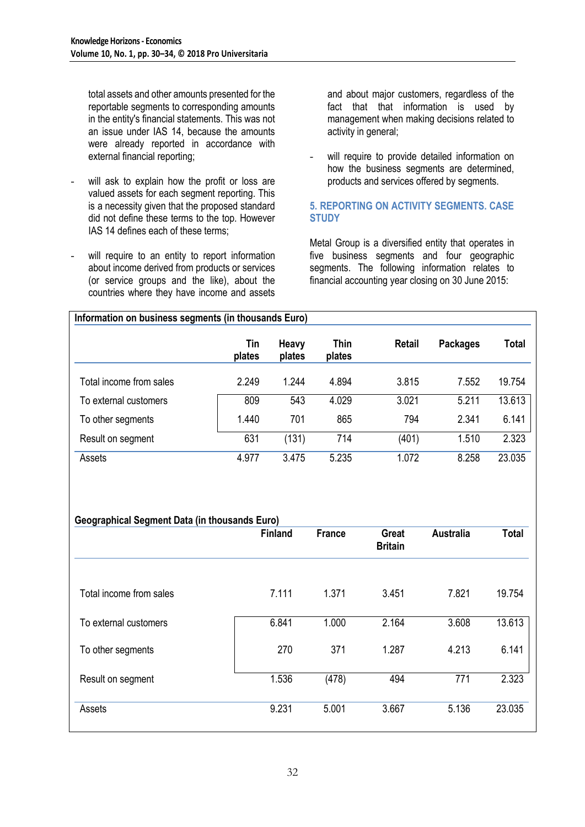total assets and other amounts presented for the reportable segments to corresponding amounts in the entity's financial statements. This was not an issue under IAS 14, because the amounts were already reported in accordance with external financial reporting;

- will ask to explain how the profit or loss are valued assets for each segment reporting. This is a necessity given that the proposed standard did not define these terms to the top. However IAS 14 defines each of these terms;
- will require to an entity to report information about income derived from products or services (or service groups and the like), about the countries where they have income and assets

and about major customers, regardless of the fact that that information is used by management when making decisions related to activity in general;

will require to provide detailed information on how the business segments are determined, products and services offered by segments.

### **5. REPORTING ON ACTIVITY SEGMENTS. CASE STUDY**

Metal Group is a diversified entity that operates in five business segments and four geographic segments. The following information relates to financial accounting year closing on 30 June 2015:

| Information on business segments (in thousands Euro) |               |                 |                |               |                 |        |
|------------------------------------------------------|---------------|-----------------|----------------|---------------|-----------------|--------|
|                                                      | Tin<br>plates | Heavy<br>plates | Thin<br>plates | <b>Retail</b> | <b>Packages</b> | Total  |
| Total income from sales                              | 2.249         | 1.244           | 4.894          | 3.815         | 7.552           | 19.754 |
| To external customers                                | 809           | 543             | 4.029          | 3.021         | 5.211           | 13.613 |
| To other segments                                    | 1.440         | 701             | 865            | 794           | 2.341           | 6.141  |
| Result on segment                                    | 631           | (131)           | 714            | (401)         | 1.510           | 2.323  |
| Assets                                               | 4.977         | 3.475           | 5.235          | 1.072         | 8.258           | 23.035 |

#### **Geographical Segment Data (in thousands Euro)**

|                         | <b>Finland</b> | <b>France</b> | Great<br><b>Britain</b> | <b>Australia</b> | <b>Total</b> |
|-------------------------|----------------|---------------|-------------------------|------------------|--------------|
|                         |                |               |                         |                  |              |
| Total income from sales | 7.111          | 1.371         | 3.451                   | 7.821            | 19.754       |
| To external customers   | 6.841          | 1.000         | 2.164                   | 3.608            | 13.613       |
| To other segments       | 270            | 371           | 1.287                   | 4.213            | 6.141        |
| Result on segment       | 1.536          | (478)         | 494                     | 771              | 2.323        |
| Assets                  | 9.231          | 5.001         | 3.667                   | 5.136            | 23.035       |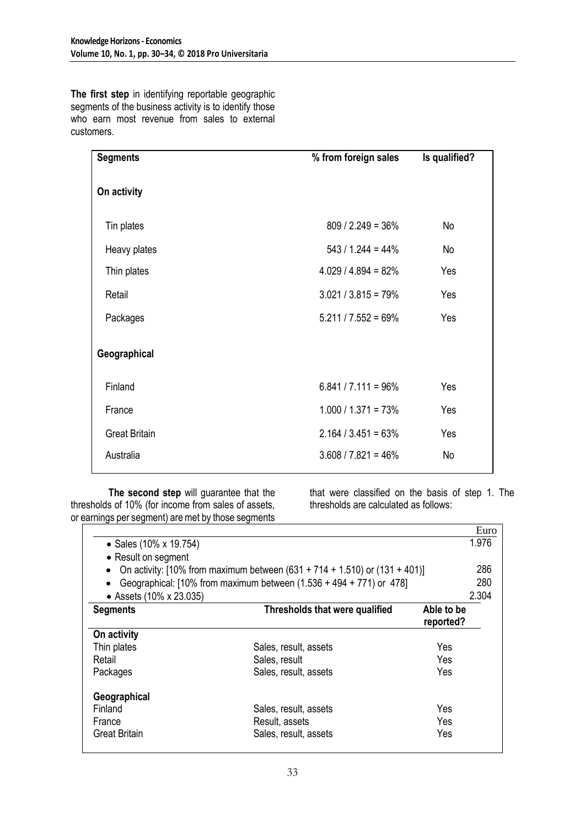**The first step** in identifying reportable geographic segments of the business activity is to identify those who earn most revenue from sales to external customers.

| <b>Segments</b>      | % from foreign sales   | Is qualified? |
|----------------------|------------------------|---------------|
| On activity          |                        |               |
| Tin plates           | $809 / 2.249 = 36\%$   | No            |
| Heavy plates         | $543 / 1.244 = 44\%$   | No            |
| Thin plates          | $4.029 / 4.894 = 82%$  | Yes           |
| Retail               | $3.021 / 3.815 = 79\%$ | Yes           |
| Packages             | $5.211 / 7.552 = 69\%$ | Yes           |
| Geographical         |                        |               |
| Finland              | $6.841 / 7.111 = 96\%$ | Yes           |
| France               | $1.000 / 1.371 = 73\%$ | Yes           |
| <b>Great Britain</b> | $2.164 / 3.451 = 63\%$ | Yes           |
| Australia            | $3.608 / 7.821 = 46\%$ | No            |

**The second step** will guarantee that the thresholds of 10% (for income from sales of assets, or earnings per segment) are met by those segments

that were classified on the basis of step 1. The thresholds are calculated as follows:

|                         |                                                                                 | Euro       |
|-------------------------|---------------------------------------------------------------------------------|------------|
| • Sales (10% x 19.754)  |                                                                                 | 1.976      |
| • Result on segment     |                                                                                 |            |
|                         | On activity: [10% from maximum between $(631 + 714 + 1.510)$ or $(131 + 401)$ ] | 286        |
|                         | Geographical: [10% from maximum between (1.536 + 494 + 771) or 478]             | 280        |
| • Assets (10% x 23.035) |                                                                                 | 2.304      |
| <b>Segments</b>         | Thresholds that were qualified                                                  | Able to be |
|                         |                                                                                 | reported?  |
| On activity             |                                                                                 |            |
| Thin plates             | Sales, result, assets                                                           | Yes        |
| Retail                  | Sales, result                                                                   | Yes        |
| Packages                | Sales, result, assets                                                           | Yes        |
| Geographical            |                                                                                 |            |
| Finland                 | Sales, result, assets                                                           | Yes        |
| France                  | Result, assets                                                                  | Yes        |
| Great Britain           | Sales, result, assets                                                           | Yes        |